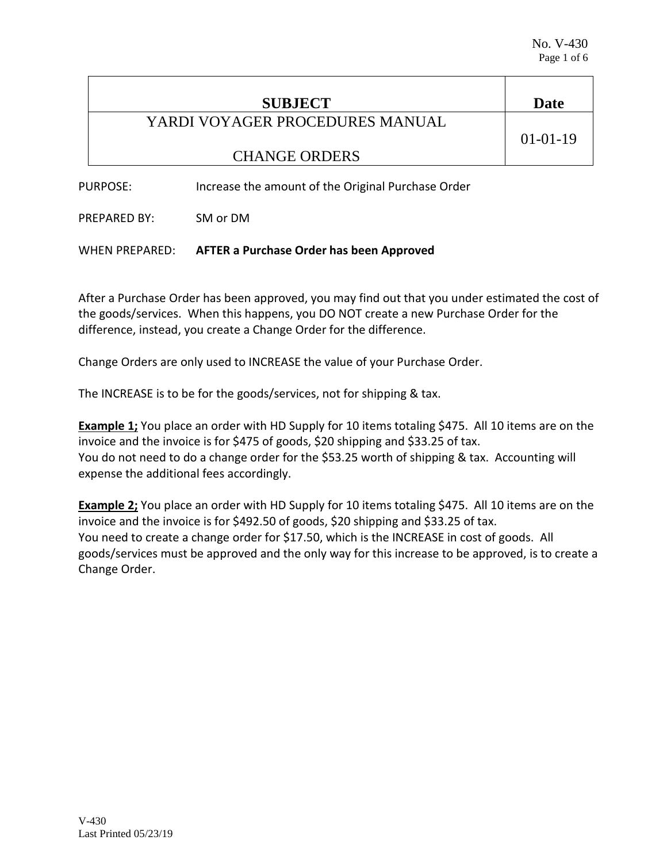| <b>SUBJECT</b>                  | Date           |
|---------------------------------|----------------|
| YARDI VOYAGER PROCEDURES MANUAL |                |
|                                 | $01 - 01 - 19$ |
| <b>CHANGE ORDERS</b>            |                |
|                                 |                |

PURPOSE: Increase the amount of the Original Purchase Order

PREPARED BY: SM or DM

WHEN PREPARED: **AFTER a Purchase Order has been Approved**

After a Purchase Order has been approved, you may find out that you under estimated the cost of the goods/services. When this happens, you DO NOT create a new Purchase Order for the difference, instead, you create a Change Order for the difference.

Change Orders are only used to INCREASE the value of your Purchase Order.

The INCREASE is to be for the goods/services, not for shipping & tax.

**Example 1;** You place an order with HD Supply for 10 items totaling \$475. All 10 items are on the invoice and the invoice is for \$475 of goods, \$20 shipping and \$33.25 of tax. You do not need to do a change order for the \$53.25 worth of shipping & tax. Accounting will expense the additional fees accordingly.

**Example 2;** You place an order with HD Supply for 10 items totaling \$475. All 10 items are on the invoice and the invoice is for \$492.50 of goods, \$20 shipping and \$33.25 of tax. You need to create a change order for \$17.50, which is the INCREASE in cost of goods. All goods/services must be approved and the only way for this increase to be approved, is to create a Change Order.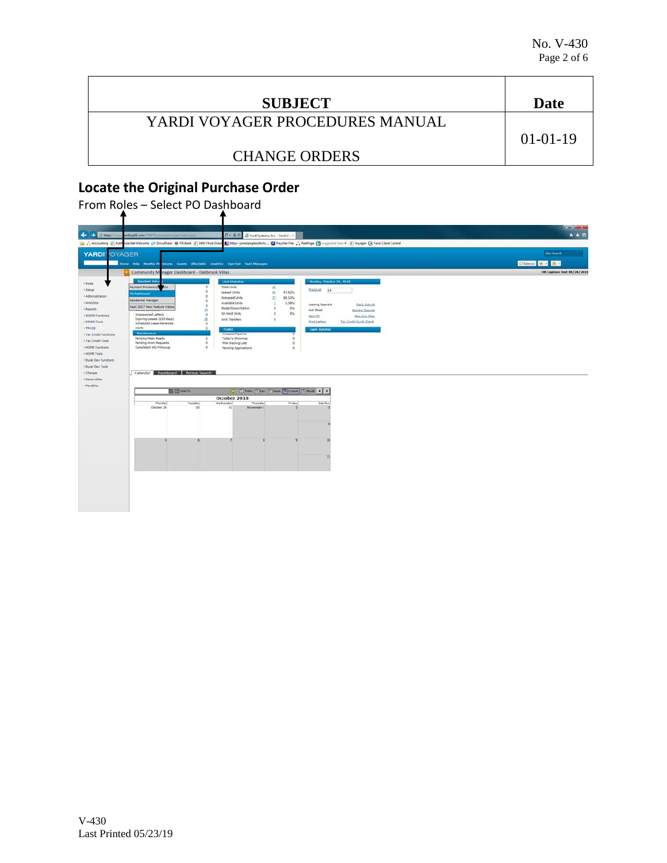| <b>SUBJECT</b>                  | Date           |
|---------------------------------|----------------|
| YARDI VOYAGER PROCEDURES MANUAL |                |
|                                 | $01 - 01 - 19$ |
| <b>CHANGE ORDERS</b>            |                |

## **Locate the Original Purchase Order**

From Roles – Select PO Dashboard

| Home Help Menthly Presedures Coests Affordable Analytics Sign Out SauS Messages<br>Community Manager Dashboard - Oakbrook Villas<br>Resident Acti<br>Monday, October 29, 2018<br><b>Unit Statistics</b><br><b>Payment Processing</b><br>Total Units<br>52<br><b>AVE</b> | Chances * 8<br>D8 Caption: test 08/24/2018 |
|-------------------------------------------------------------------------------------------------------------------------------------------------------------------------------------------------------------------------------------------------------------------------|--------------------------------------------|
|                                                                                                                                                                                                                                                                         |                                            |
|                                                                                                                                                                                                                                                                         |                                            |
|                                                                                                                                                                                                                                                                         |                                            |
| Prostlist 14<br>Leased Units<br>41<br>97.62%<br><b>PO Dashboard</b>                                                                                                                                                                                                     |                                            |
| 32<br>88.10%<br>Occupied Units<br>Residential Manager<br>o                                                                                                                                                                                                              |                                            |
| Available Units<br>$\mathbf{1}$<br>2.38%<br>Leasing Specials<br>Daily Activity<br>SaaS 2017 New Feature Videos<br>Model/Down/Admin.<br>$\sigma$<br><b>O%</b>                                                                                                            |                                            |
| 20<br>Hot Sheet<br><b>Honitor Reports</b><br>On Hold Units<br>O%<br>a<br>Unanswered Letters<br>D                                                                                                                                                                        |                                            |
| New PO<br>New Syc. Reg.<br>Expiring Leases (120 days)<br>10<br>Unit Transfers<br><b>G</b>                                                                                                                                                                               |                                            |
| <b>Print Letters</b><br>Tax Credit Quick Check<br><b>Scheduled Lease Renewals</b><br>$\sim$                                                                                                                                                                             |                                            |
| Alerts<br>Traffic<br><b>Open Batches</b>                                                                                                                                                                                                                                |                                            |
| Maintenance<br>Prospect Pipeline<br>. Tax Credit Functions<br>Pending Make Ready<br>Today's Showings<br>$^{\circ}$                                                                                                                                                      |                                            |
| <b>Pending Work Requests</b><br>$\circ$<br>PHA Waiting Lists<br>$^{\circ}$                                                                                                                                                                                              |                                            |
| Completed WO Followup<br>$\alpha$<br>Pending Applications<br>$\alpha$                                                                                                                                                                                                   |                                            |
|                                                                                                                                                                                                                                                                         |                                            |
| . Rural Dev Functions                                                                                                                                                                                                                                                   |                                            |
|                                                                                                                                                                                                                                                                         |                                            |
|                                                                                                                                                                                                                                                                         |                                            |
| Calendar Dashboard Person Search                                                                                                                                                                                                                                        |                                            |
|                                                                                                                                                                                                                                                                         |                                            |
| [3] Tal Today [1 Day [2 Week [1] 2 Week [1] C Month   4   3<br>图 El lamp to                                                                                                                                                                                             |                                            |
| October 2018                                                                                                                                                                                                                                                            |                                            |
| Wednesday<br>Friday<br><b>Honday</b><br><b>Tuesday</b><br>Thursday<br>Sat/Sun                                                                                                                                                                                           |                                            |
| 30<br>31<br>November 1<br>October 29                                                                                                                                                                                                                                    |                                            |
|                                                                                                                                                                                                                                                                         |                                            |
|                                                                                                                                                                                                                                                                         |                                            |
|                                                                                                                                                                                                                                                                         |                                            |
|                                                                                                                                                                                                                                                                         |                                            |
|                                                                                                                                                                                                                                                                         |                                            |
|                                                                                                                                                                                                                                                                         |                                            |
| <b>EC</b>                                                                                                                                                                                                                                                               |                                            |
|                                                                                                                                                                                                                                                                         |                                            |
|                                                                                                                                                                                                                                                                         |                                            |
| 73                                                                                                                                                                                                                                                                      |                                            |
|                                                                                                                                                                                                                                                                         |                                            |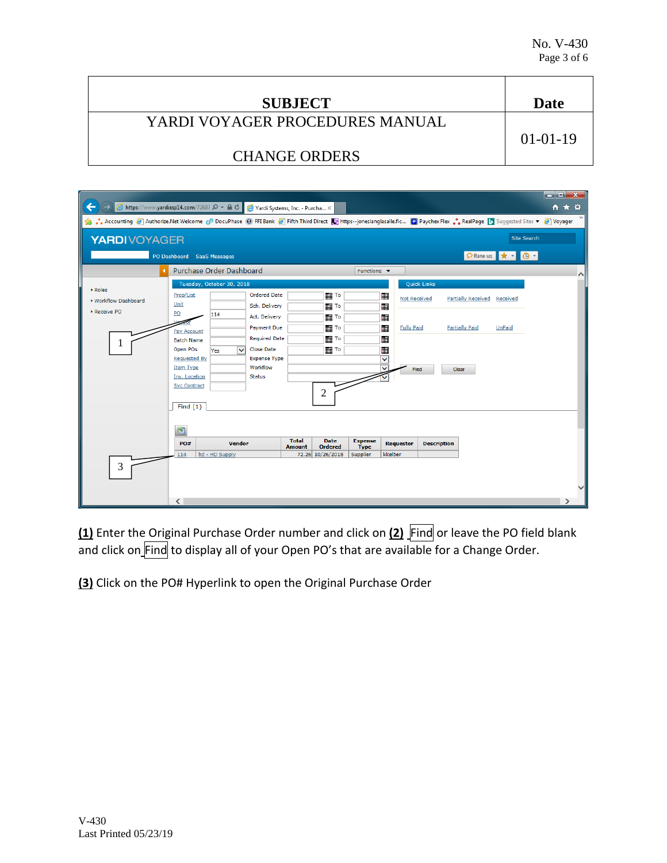| <b>SUBJECT</b>                  | Date       |
|---------------------------------|------------|
| YARDI VOYAGER PROCEDURES MANUAL |            |
|                                 | $01-01-19$ |
| <b>CHANGE ORDERS</b>            |            |

| $\Rightarrow$ $\bigotimes$ https://www.yardiasp14.com/72687 $\circ$ + a $\circ$<br>←                                                                                        |                                                          |                           | Yardi Systems, Inc. - Purcha X                   |                               |                               |                                |                              |                    |                           |                                                     | <del>n</del> ★ ¤ |
|-----------------------------------------------------------------------------------------------------------------------------------------------------------------------------|----------------------------------------------------------|---------------------------|--------------------------------------------------|-------------------------------|-------------------------------|--------------------------------|------------------------------|--------------------|---------------------------|-----------------------------------------------------|------------------|
| Suggested Sites ▼ @ Authorize.Net Welcome @ DocuPhase @ FFI Bank @ Fifth Third Direct La https--joneslanglasalle.fic @ Paychex Flex  RealPage D Suggested Sites ▼ @ Voyager |                                                          |                           |                                                  |                               |                               |                                |                              |                    |                           |                                                     |                  |
| <b>YARDIVOYAGER</b>                                                                                                                                                         |                                                          |                           |                                                  |                               |                               |                                |                              |                    |                           | <b>Site Search</b>                                  |                  |
|                                                                                                                                                                             | PO Dashboard SaaS Messages                               |                           |                                                  |                               |                               |                                |                              |                    |                           | PRate us $\Vert \star \Vert$ + $\Vert \Theta \Vert$ |                  |
|                                                                                                                                                                             | <b>Purchase Order Dashboard</b>                          |                           |                                                  |                               |                               | Functions $\blacktriangledown$ |                              |                    |                           |                                                     | $\wedge$         |
|                                                                                                                                                                             |                                                          | Tuesday, October 30, 2018 |                                                  |                               |                               |                                |                              | <b>Quick Links</b> |                           |                                                     |                  |
| ▶ Roles<br>▶ Workflow Dashboard                                                                                                                                             | Prop/List<br>Unit                                        |                           | <b>Ordered Date</b><br>Sch. Delivery             |                               |                               |                                | ⊞<br><b>Not Received</b><br> |                    | <b>Partially Received</b> | Received                                            |                  |
| Receive PO                                                                                                                                                                  | PO<br>Pay Account                                        | 114                       | Act. Delivery<br><b>Payment Due</b>              |                               | To                            |                                | <br><b>Fully Paid</b>        |                    | <b>Partially Paid</b>     | <b>UnPaid</b>                                       |                  |
| 1                                                                                                                                                                           | <b>Batch Name</b><br>Open POs                            | $\checkmark$<br>Yes       | <b>Required Date</b><br><b>Close Date</b>        |                               | To<br>       To               |                                |                              |                    |                           |                                                     |                  |
|                                                                                                                                                                             | <b>Requested By</b><br><b>Item Type</b><br>Inv. Location |                           | <b>Expense Type</b><br>Workflow<br><b>Status</b> |                               |                               |                                | v<br>v<br>Find               |                    | Clear                     |                                                     |                  |
|                                                                                                                                                                             | <b>Svc Contract</b>                                      |                           |                                                  |                               | 2                             |                                |                              |                    |                           |                                                     |                  |
|                                                                                                                                                                             | Find $(1)$                                               |                           |                                                  |                               |                               |                                |                              |                    |                           |                                                     |                  |
|                                                                                                                                                                             | 围                                                        |                           |                                                  |                               |                               |                                |                              |                    |                           |                                                     |                  |
|                                                                                                                                                                             | PO#                                                      | <b>Vendor</b>             |                                                  | <b>Total</b><br><b>Amount</b> | <b>Date</b><br><b>Ordered</b> | <b>Expense</b><br><b>Type</b>  | <b>Requestor</b>             | <b>Description</b> |                           |                                                     |                  |
|                                                                                                                                                                             | 114                                                      | hd - HD Supply            |                                                  |                               | 72.26 10/26/2018              | Supplier                       | kkelber                      |                    |                           |                                                     |                  |
| 3                                                                                                                                                                           |                                                          |                           |                                                  |                               |                               |                                |                              |                    |                           |                                                     |                  |
|                                                                                                                                                                             |                                                          |                           |                                                  |                               |                               |                                |                              |                    |                           |                                                     |                  |
|                                                                                                                                                                             | $\langle$                                                |                           |                                                  |                               |                               |                                |                              |                    |                           |                                                     |                  |

**(1)** Enter the Original Purchase Order number and click on **(2)** Find or leave the PO field blank and click on\_Find to display all of your Open PO's that are available for a Change Order.

**(3)** Click on the PO# Hyperlink to open the Original Purchase Order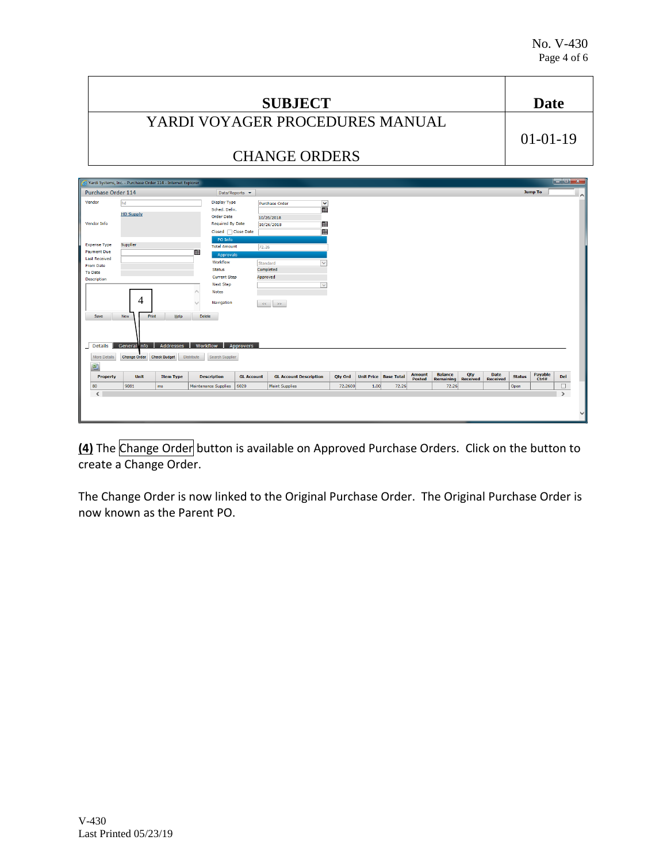|                     |                                                              |                                                       | <b>SUBJECT</b>           |                                 | <b>Date</b>         |
|---------------------|--------------------------------------------------------------|-------------------------------------------------------|--------------------------|---------------------------------|---------------------|
|                     |                                                              |                                                       |                          | YARDI VOYAGER PROCEDURES MANUAL |                     |
|                     |                                                              |                                                       |                          |                                 | $01-01-19$          |
|                     |                                                              |                                                       | <b>CHANGE ORDERS</b>     |                                 |                     |
|                     | Yardi Systems, Inc. - Purchase Order 114 - Internet Explorer |                                                       |                          |                                 | $  x$               |
| Purchase Order 114  |                                                              | Data/Reports v                                        |                          |                                 | <b>Jump To</b><br>시 |
| Vendor              | <b>Ihd</b>                                                   | <b>Display Type</b><br>Sched, Deliv.                  | <b>Purchase Order</b>    | $\frac{1}{2}$                   |                     |
| <b>Vendor Info</b>  | <b>HD Supply</b>                                             | <b>Order Date</b><br><b>Required By Date</b>          | 10/26/2018<br>10/26/2018 | ⊞                               |                     |
| <b>Expense Type</b> | Supplier                                                     | Closed   Close Date<br>PO Info<br><b>Total Amount</b> | 72.26                    |                                 |                     |
| <b>Payment Due</b>  | ⊞⊞                                                           |                                                       |                          |                                 |                     |

| <b>To Date</b><br>Description |                           |                  |                               | <b>Current Step</b> | Approved |                               |         |      |                              |                  |                             |                        |                         |               |                  |        |
|-------------------------------|---------------------------|------------------|-------------------------------|---------------------|----------|-------------------------------|---------|------|------------------------------|------------------|-----------------------------|------------------------|-------------------------|---------------|------------------|--------|
|                               |                           |                  | <b>Next Step</b>              |                     |          | $\vert \vee \vert$            |         |      |                              |                  |                             |                        |                         |               |                  |        |
|                               | 4                         |                  | Notes<br>Navigation           |                     | $<<$     | >>                            |         |      |                              |                  |                             |                        |                         |               |                  |        |
| Save                          | New<br>Print              | Help             | Delete                        |                     |          |                               |         |      |                              |                  |                             |                        |                         |               |                  |        |
|                               |                           |                  |                               |                     |          |                               |         |      |                              |                  |                             |                        |                         |               |                  |        |
|                               |                           |                  |                               |                     |          |                               |         |      |                              |                  |                             |                        |                         |               |                  |        |
|                               |                           |                  |                               |                     |          |                               |         |      |                              |                  |                             |                        |                         |               |                  |        |
|                               | General nfo               | Addresses        | Workflow                      | Approvers           |          |                               |         |      |                              |                  |                             |                        |                         |               |                  |        |
| Details<br>More Details       | Change Order Check Budget |                  | Distribute<br>Search Supplier |                     |          |                               |         |      |                              |                  |                             |                        |                         |               |                  |        |
|                               |                           |                  |                               |                     |          |                               |         |      |                              |                  |                             |                        |                         |               |                  |        |
| 團<br>Property                 | Unit                      | <b>Item Type</b> | <b>Description</b>            | <b>GL Account</b>   |          | <b>GL Account Description</b> | Qty Ord |      | <b>Unit Price Base Total</b> | Amount<br>Posted | <b>Balance</b><br>Remaining | Qty<br><b>Received</b> | Date<br><b>Received</b> | <b>Status</b> | Payable<br>Ctrl# | Del    |
| 80                            | 9081                      | ms               | Maintenance Supplies          | 6020                |          | <b>Maint Supplies</b>         | 72.2600 | 1.00 | 72.26                        |                  | 72.26                       |                        |                         | Open          |                  | $\Box$ |

**(4)** The Change Order button is available on Approved Purchase Orders. Click on the button to create a Change Order.

The Change Order is now linked to the Original Purchase Order. The Original Purchase Order is now known as the Parent PO.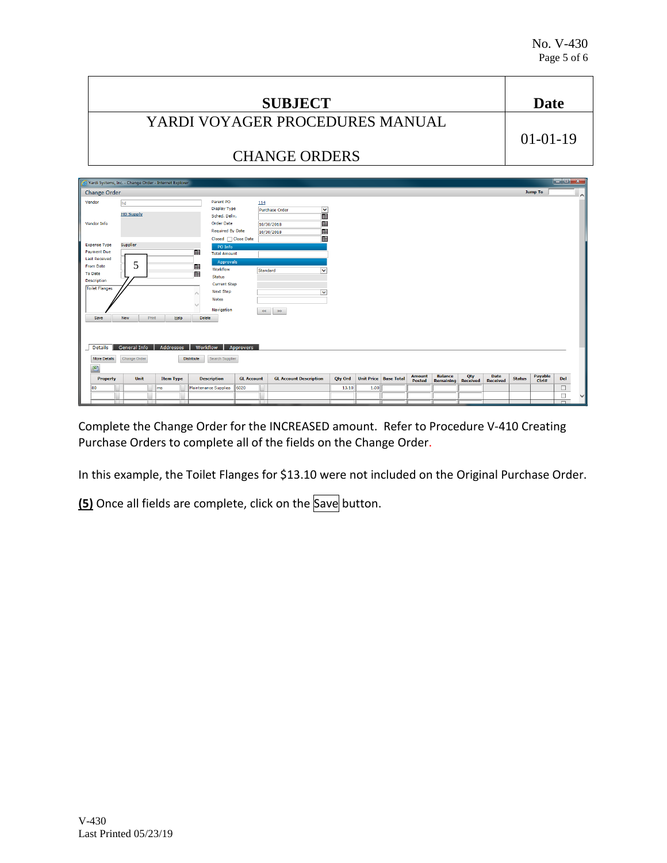|                                           |                                                        |                                                                     | <b>SUBJECT</b>               |                                 | Date                                                                                                                                                                                                                                                                                                                                                                                                                                                                   |
|-------------------------------------------|--------------------------------------------------------|---------------------------------------------------------------------|------------------------------|---------------------------------|------------------------------------------------------------------------------------------------------------------------------------------------------------------------------------------------------------------------------------------------------------------------------------------------------------------------------------------------------------------------------------------------------------------------------------------------------------------------|
|                                           |                                                        |                                                                     |                              | YARDI VOYAGER PROCEDURES MANUAL |                                                                                                                                                                                                                                                                                                                                                                                                                                                                        |
|                                           |                                                        |                                                                     |                              |                                 | $01-01-19$                                                                                                                                                                                                                                                                                                                                                                                                                                                             |
|                                           |                                                        |                                                                     | <b>CHANGE ORDERS</b>         |                                 |                                                                                                                                                                                                                                                                                                                                                                                                                                                                        |
| <b>Change Order</b>                       | Yardi Systems, Inc. - Change Order - Internet Explorer |                                                                     |                              |                                 | $\begin{array}{c c c c c} \hline \multicolumn{1}{c }{\textbf{}} & \multicolumn{1}{c }{\textbf{}} \\ \hline \multicolumn{1}{c }{\textbf{}} & \multicolumn{1}{c }{\textbf{}} & \multicolumn{1}{c }{\textbf{}} \\ \hline \multicolumn{1}{c }{\textbf{}} & \multicolumn{1}{c }{\textbf{}} & \multicolumn{1}{c }{\textbf{}} \\ \hline \multicolumn{1}{c }{\textbf{}} & \multicolumn{1}{c }{\textbf{}} & \multicolumn{1}{c }{\textbf{}} \\ \hline \multic$<br><b>Jump To</b> |
| Vendor                                    | hd<br><b>HD Supply</b>                                 | Parent PO<br>Display Type<br>Sched, Deliv.                          | 114<br><b>Purchase Order</b> | $\frac{1}{2}$                   | 시                                                                                                                                                                                                                                                                                                                                                                                                                                                                      |
| <b>Vendor Info</b>                        |                                                        | <b>Order Date</b><br><b>Required By Date</b><br>Closed   Close Date | 10/30/2018<br>10/30/2018     | ⊞<br>冊<br>冊                     |                                                                                                                                                                                                                                                                                                                                                                                                                                                                        |
| <b>Expense Type</b><br><b>Payment Due</b> | Supplier                                               | PO Info<br><b>Total Amount</b>                                      |                              |                                 |                                                                                                                                                                                                                                                                                                                                                                                                                                                                        |

| From Date             | 5                   |       |                  |                      | Approvals           |                   |                               |                               |         |      |                       |               |                  |                 |                 |               |                  |     |
|-----------------------|---------------------|-------|------------------|----------------------|---------------------|-------------------|-------------------------------|-------------------------------|---------|------|-----------------------|---------------|------------------|-----------------|-----------------|---------------|------------------|-----|
|                       |                     |       |                  |                      | Workflow            |                   | Standard                      | $\checkmark$                  |         |      |                       |               |                  |                 |                 |               |                  |     |
| <b>To Date</b>        |                     |       |                  | ⊞                    | <b>Status</b>       |                   |                               |                               |         |      |                       |               |                  |                 |                 |               |                  |     |
| Description           |                     |       |                  |                      | <b>Current Step</b> |                   |                               |                               |         |      |                       |               |                  |                 |                 |               |                  |     |
| <b>Toilet Flanges</b> |                     |       |                  |                      | <b>Next Step</b>    |                   |                               | $\checkmark$                  |         |      |                       |               |                  |                 |                 |               |                  |     |
|                       |                     |       |                  |                      | <b>Notes</b>        |                   |                               |                               |         |      |                       |               |                  |                 |                 |               |                  |     |
|                       |                     |       |                  |                      | Navigation          |                   | $\prec\prec$<br>$\Rightarrow$ |                               |         |      |                       |               |                  |                 |                 |               |                  |     |
| Save                  | New                 | Print | Help             | Delete               |                     |                   |                               |                               |         |      |                       |               |                  |                 |                 |               |                  |     |
|                       |                     |       |                  |                      |                     |                   |                               |                               |         |      |                       |               |                  |                 |                 |               |                  |     |
|                       |                     |       |                  |                      |                     |                   |                               |                               |         |      |                       |               |                  |                 |                 |               |                  |     |
|                       |                     |       |                  |                      |                     |                   |                               |                               |         |      |                       |               |                  |                 |                 |               |                  |     |
|                       |                     |       |                  |                      |                     |                   |                               |                               |         |      |                       |               |                  |                 |                 |               |                  |     |
| Details               | <b>General Info</b> |       | Addresses        | Workflow             |                     | Approvers         |                               |                               |         |      |                       |               |                  |                 |                 |               |                  |     |
|                       |                     |       |                  |                      |                     |                   |                               |                               |         |      |                       |               |                  |                 |                 |               |                  |     |
| <b>More Details</b>   | Change Order        |       |                  | <b>Distribute</b>    | Search Supplier     |                   |                               |                               |         |      |                       |               |                  |                 |                 |               |                  |     |
|                       |                     |       |                  |                      |                     |                   |                               |                               |         |      |                       |               |                  |                 |                 |               |                  |     |
| 图                     |                     |       |                  |                      |                     |                   |                               |                               |         |      |                       | <b>Amount</b> | <b>Balance</b>   | Qty             | Date            |               |                  |     |
| <b>Property</b>       | Unit                |       | <b>Item Type</b> |                      | <b>Description</b>  | <b>GL Account</b> |                               | <b>GL Account Description</b> | Qty Ord |      | Unit Price Base Total | <b>Posted</b> | <b>Remaining</b> | <b>Received</b> | <b>Received</b> | <b>Status</b> | Payable<br>Ctrl# | Del |
| 80                    |                     | ms    |                  | Maintenance Supplies |                     | 6020              |                               |                               | 13.10   | 1.00 |                       |               |                  |                 |                 |               |                  | Г   |
|                       |                     |       |                  |                      |                     |                   |                               |                               |         |      |                       |               |                  |                 |                 |               |                  |     |

Complete the Change Order for the INCREASED amount. Refer to Procedure V-410 Creating Purchase Orders to complete all of the fields on the Change Order.

In this example, the Toilet Flanges for \$13.10 were not included on the Original Purchase Order.

**(5)** Once all fields are complete, click on the Save button.